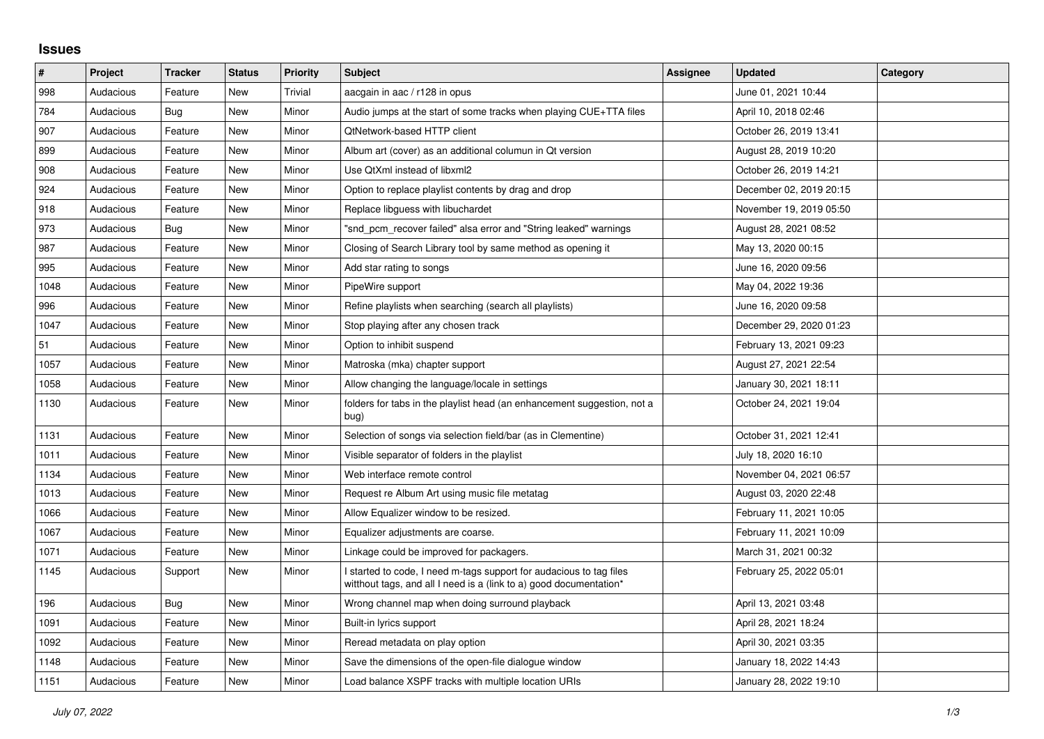## **Issues**

| $\sharp$ | Project   | <b>Tracker</b> | <b>Status</b> | <b>Priority</b> | Subject                                                                                                                                   | Assignee | <b>Updated</b>          | Category |
|----------|-----------|----------------|---------------|-----------------|-------------------------------------------------------------------------------------------------------------------------------------------|----------|-------------------------|----------|
| 998      | Audacious | Feature        | <b>New</b>    | Trivial         | aacgain in aac / r128 in opus                                                                                                             |          | June 01, 2021 10:44     |          |
| 784      | Audacious | Bug            | <b>New</b>    | Minor           | Audio jumps at the start of some tracks when playing CUE+TTA files                                                                        |          | April 10, 2018 02:46    |          |
| 907      | Audacious | Feature        | <b>New</b>    | Minor           | QtNetwork-based HTTP client                                                                                                               |          | October 26, 2019 13:41  |          |
| 899      | Audacious | Feature        | <b>New</b>    | Minor           | Album art (cover) as an additional columun in Qt version                                                                                  |          | August 28, 2019 10:20   |          |
| 908      | Audacious | Feature        | <b>New</b>    | Minor           | Use QtXml instead of libxml2                                                                                                              |          | October 26, 2019 14:21  |          |
| 924      | Audacious | Feature        | <b>New</b>    | Minor           | Option to replace playlist contents by drag and drop                                                                                      |          | December 02, 2019 20:15 |          |
| 918      | Audacious | Feature        | <b>New</b>    | Minor           | Replace libguess with libuchardet                                                                                                         |          | November 19, 2019 05:50 |          |
| 973      | Audacious | Bug            | New           | Minor           | "snd_pcm_recover failed" alsa error and "String leaked" warnings                                                                          |          | August 28, 2021 08:52   |          |
| 987      | Audacious | Feature        | New           | Minor           | Closing of Search Library tool by same method as opening it                                                                               |          | May 13, 2020 00:15      |          |
| 995      | Audacious | Feature        | <b>New</b>    | Minor           | Add star rating to songs                                                                                                                  |          | June 16, 2020 09:56     |          |
| 1048     | Audacious | Feature        | <b>New</b>    | Minor           | PipeWire support                                                                                                                          |          | May 04, 2022 19:36      |          |
| 996      | Audacious | Feature        | <b>New</b>    | Minor           | Refine playlists when searching (search all playlists)                                                                                    |          | June 16, 2020 09:58     |          |
| 1047     | Audacious | Feature        | New           | Minor           | Stop playing after any chosen track                                                                                                       |          | December 29, 2020 01:23 |          |
| 51       | Audacious | Feature        | New           | Minor           | Option to inhibit suspend                                                                                                                 |          | February 13, 2021 09:23 |          |
| 1057     | Audacious | Feature        | New           | Minor           | Matroska (mka) chapter support                                                                                                            |          | August 27, 2021 22:54   |          |
| 1058     | Audacious | Feature        | <b>New</b>    | Minor           | Allow changing the language/locale in settings                                                                                            |          | January 30, 2021 18:11  |          |
| 1130     | Audacious | Feature        | <b>New</b>    | Minor           | folders for tabs in the playlist head (an enhancement suggestion, not a<br>bug)                                                           |          | October 24, 2021 19:04  |          |
| 1131     | Audacious | Feature        | <b>New</b>    | Minor           | Selection of songs via selection field/bar (as in Clementine)                                                                             |          | October 31, 2021 12:41  |          |
| 1011     | Audacious | Feature        | New           | Minor           | Visible separator of folders in the playlist                                                                                              |          | July 18, 2020 16:10     |          |
| 1134     | Audacious | Feature        | New           | Minor           | Web interface remote control                                                                                                              |          | November 04, 2021 06:57 |          |
| 1013     | Audacious | Feature        | <b>New</b>    | Minor           | Request re Album Art using music file metatag                                                                                             |          | August 03, 2020 22:48   |          |
| 1066     | Audacious | Feature        | <b>New</b>    | Minor           | Allow Equalizer window to be resized.                                                                                                     |          | February 11, 2021 10:05 |          |
| 1067     | Audacious | Feature        | New           | Minor           | Equalizer adjustments are coarse.                                                                                                         |          | February 11, 2021 10:09 |          |
| 1071     | Audacious | Feature        | New           | Minor           | Linkage could be improved for packagers.                                                                                                  |          | March 31, 2021 00:32    |          |
| 1145     | Audacious | Support        | <b>New</b>    | Minor           | I started to code, I need m-tags support for audacious to tag files<br>witthout tags, and all I need is a (link to a) good documentation* |          | February 25, 2022 05:01 |          |
| 196      | Audacious | Bug            | <b>New</b>    | Minor           | Wrong channel map when doing surround playback                                                                                            |          | April 13, 2021 03:48    |          |
| 1091     | Audacious | Feature        | <b>New</b>    | Minor           | Built-in lyrics support                                                                                                                   |          | April 28, 2021 18:24    |          |
| 1092     | Audacious | Feature        | New           | Minor           | Reread metadata on play option                                                                                                            |          | April 30, 2021 03:35    |          |
| 1148     | Audacious | Feature        | <b>New</b>    | Minor           | Save the dimensions of the open-file dialogue window                                                                                      |          | January 18, 2022 14:43  |          |
| 1151     | Audacious | Feature        | <b>New</b>    | Minor           | Load balance XSPF tracks with multiple location URIs                                                                                      |          | January 28, 2022 19:10  |          |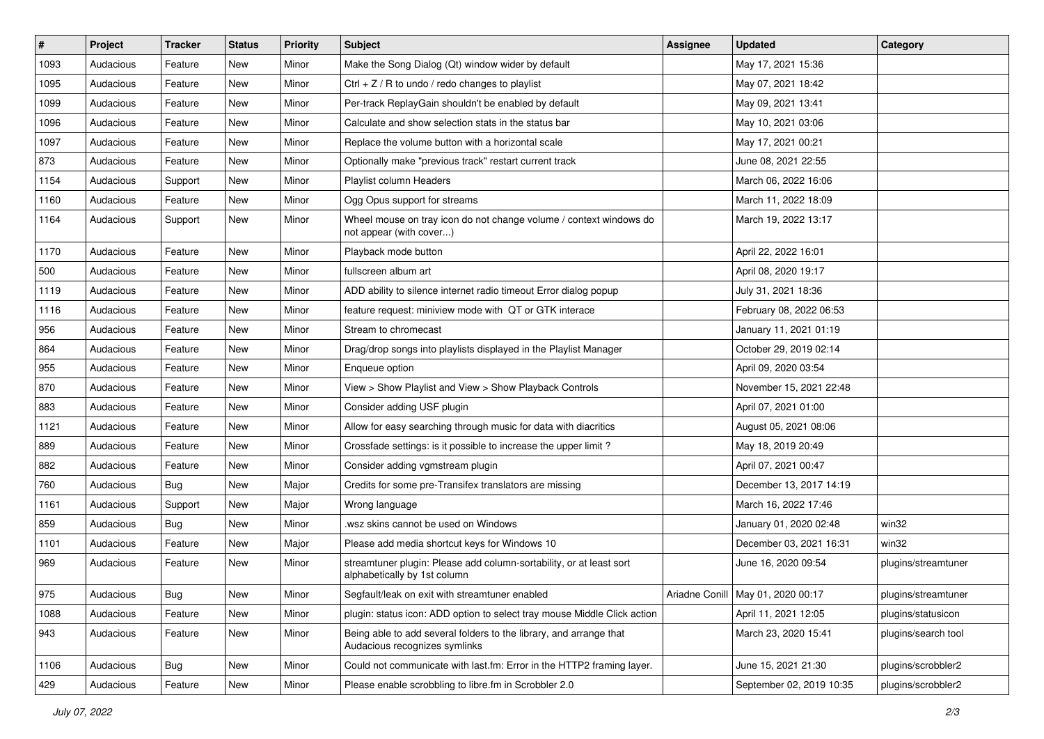| $\vert$ # | Project   | <b>Tracker</b> | <b>Status</b> | <b>Priority</b> | <b>Subject</b>                                                                                      | <b>Assignee</b> | <b>Updated</b>                      | Category            |
|-----------|-----------|----------------|---------------|-----------------|-----------------------------------------------------------------------------------------------------|-----------------|-------------------------------------|---------------------|
| 1093      | Audacious | Feature        | New           | Minor           | Make the Song Dialog (Qt) window wider by default                                                   |                 | May 17, 2021 15:36                  |                     |
| 1095      | Audacious | Feature        | New           | Minor           | Ctrl + $Z$ / R to undo / redo changes to playlist                                                   |                 | May 07, 2021 18:42                  |                     |
| 1099      | Audacious | Feature        | New           | Minor           | Per-track ReplayGain shouldn't be enabled by default                                                |                 | May 09, 2021 13:41                  |                     |
| 1096      | Audacious | Feature        | New           | Minor           | Calculate and show selection stats in the status bar                                                |                 | May 10, 2021 03:06                  |                     |
| 1097      | Audacious | Feature        | New           | Minor           | Replace the volume button with a horizontal scale                                                   |                 | May 17, 2021 00:21                  |                     |
| 873       | Audacious | Feature        | New           | Minor           | Optionally make "previous track" restart current track                                              |                 | June 08, 2021 22:55                 |                     |
| 1154      | Audacious | Support        | New           | Minor           | Playlist column Headers                                                                             |                 | March 06, 2022 16:06                |                     |
| 1160      | Audacious | Feature        | New           | Minor           | Ogg Opus support for streams                                                                        |                 | March 11, 2022 18:09                |                     |
| 1164      | Audacious | Support        | New           | Minor           | Wheel mouse on tray icon do not change volume / context windows do<br>not appear (with cover)       |                 | March 19, 2022 13:17                |                     |
| 1170      | Audacious | Feature        | <b>New</b>    | Minor           | Playback mode button                                                                                |                 | April 22, 2022 16:01                |                     |
| 500       | Audacious | Feature        | New           | Minor           | fullscreen album art                                                                                |                 | April 08, 2020 19:17                |                     |
| 1119      | Audacious | Feature        | New           | Minor           | ADD ability to silence internet radio timeout Error dialog popup                                    |                 | July 31, 2021 18:36                 |                     |
| 1116      | Audacious | Feature        | New           | Minor           | feature request: miniview mode with QT or GTK interace                                              |                 | February 08, 2022 06:53             |                     |
| 956       | Audacious | Feature        | New           | Minor           | Stream to chromecast                                                                                |                 | January 11, 2021 01:19              |                     |
| 864       | Audacious | Feature        | New           | Minor           | Drag/drop songs into playlists displayed in the Playlist Manager                                    |                 | October 29, 2019 02:14              |                     |
| 955       | Audacious | Feature        | New           | Minor           | Enqueue option                                                                                      |                 | April 09, 2020 03:54                |                     |
| 870       | Audacious | Feature        | New           | Minor           | View > Show Playlist and View > Show Playback Controls                                              |                 | November 15, 2021 22:48             |                     |
| 883       | Audacious | Feature        | New           | Minor           | Consider adding USF plugin                                                                          |                 | April 07, 2021 01:00                |                     |
| 1121      | Audacious | Feature        | <b>New</b>    | Minor           | Allow for easy searching through music for data with diacritics                                     |                 | August 05, 2021 08:06               |                     |
| 889       | Audacious | Feature        | New           | Minor           | Crossfade settings: is it possible to increase the upper limit?                                     |                 | May 18, 2019 20:49                  |                     |
| 882       | Audacious | Feature        | New           | Minor           | Consider adding vgmstream plugin                                                                    |                 | April 07, 2021 00:47                |                     |
| 760       | Audacious | <b>Bug</b>     | New           | Major           | Credits for some pre-Transifex translators are missing                                              |                 | December 13, 2017 14:19             |                     |
| 1161      | Audacious | Support        | New           | Major           | Wrong language                                                                                      |                 | March 16, 2022 17:46                |                     |
| 859       | Audacious | Bug            | New           | Minor           | wsz skins cannot be used on Windows                                                                 |                 | January 01, 2020 02:48              | win32               |
| 1101      | Audacious | Feature        | New           | Major           | Please add media shortcut keys for Windows 10                                                       |                 | December 03, 2021 16:31             | win32               |
| 969       | Audacious | Feature        | New           | Minor           | streamtuner plugin: Please add column-sortability, or at least sort<br>alphabetically by 1st column |                 | June 16, 2020 09:54                 | plugins/streamtuner |
| 975       | Audacious | Bug            | New           | Minor           | Segfault/leak on exit with streamtuner enabled                                                      |                 | Ariadne Conill   May 01, 2020 00:17 | plugins/streamtuner |
| 1088      | Audacious | Feature        | New           | Minor           | plugin: status icon: ADD option to select tray mouse Middle Click action                            |                 | April 11, 2021 12:05                | plugins/statusicon  |
| 943       | Audacious | Feature        | New           | Minor           | Being able to add several folders to the library, and arrange that<br>Audacious recognizes symlinks |                 | March 23, 2020 15:41                | plugins/search tool |
| 1106      | Audacious | <b>Bug</b>     | New           | Minor           | Could not communicate with last.fm: Error in the HTTP2 framing layer.                               |                 | June 15, 2021 21:30                 | plugins/scrobbler2  |
| 429       | Audacious | Feature        | New           | Minor           | Please enable scrobbling to libre.fm in Scrobbler 2.0                                               |                 | September 02, 2019 10:35            | plugins/scrobbler2  |